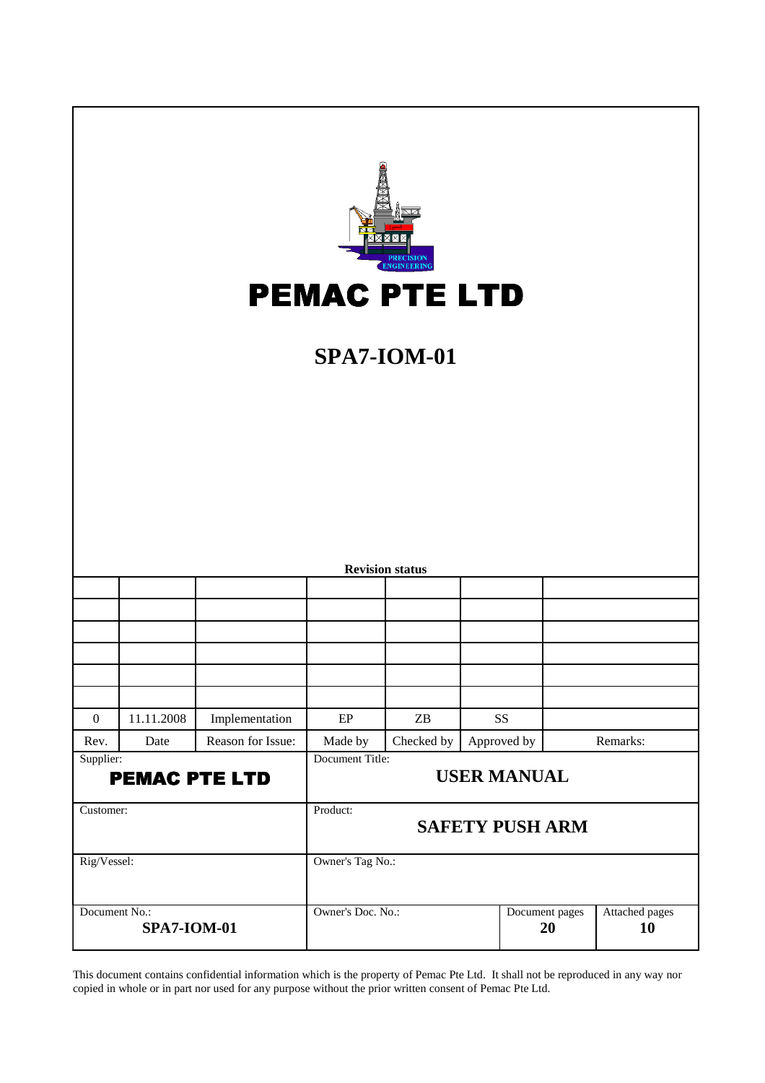|                  |                                     |                   |                   | <b>IGINEERIN</b><br><b>PEMAC PTE LTD</b><br><b>SPA7-IOM-01</b> |                        |                      |
|------------------|-------------------------------------|-------------------|-------------------|----------------------------------------------------------------|------------------------|----------------------|
|                  |                                     |                   |                   | <b>Revision status</b>                                         |                        |                      |
|                  |                                     |                   |                   |                                                                |                        |                      |
|                  |                                     |                   |                   |                                                                |                        |                      |
|                  |                                     |                   |                   |                                                                |                        |                      |
|                  |                                     |                   |                   |                                                                |                        |                      |
| $\boldsymbol{0}$ | 11.11.2008                          | Implementation    | $\rm EP$          | $\ensuremath{\mathbf{Z}}\ensuremath{\mathbf{B}}$               | <b>SS</b>              |                      |
| Rev.             | Date                                | Reason for Issue: | Made by           | Checked by                                                     | Approved by            | Remarks:             |
| Supplier:        | <b>PEMAC PTE LTD</b>                |                   | Document Title:   |                                                                | <b>USER MANUAL</b>     |                      |
| Customer:        |                                     |                   | Product:          |                                                                | <b>SAFETY PUSH ARM</b> |                      |
| Rig/Vessel:      |                                     |                   | Owner's Tag No.:  |                                                                |                        |                      |
|                  | Document No.:<br><b>SPA7-IOM-01</b> |                   | Owner's Doc. No.: |                                                                | Document pages<br>20   | Attached pages<br>10 |

This document contains confidential information which is the property of Pemac Pte Ltd. It shall not be reproduced in any way nor copied in whole or in part nor used for any purpose without the prior written consent of Pemac Pte Ltd.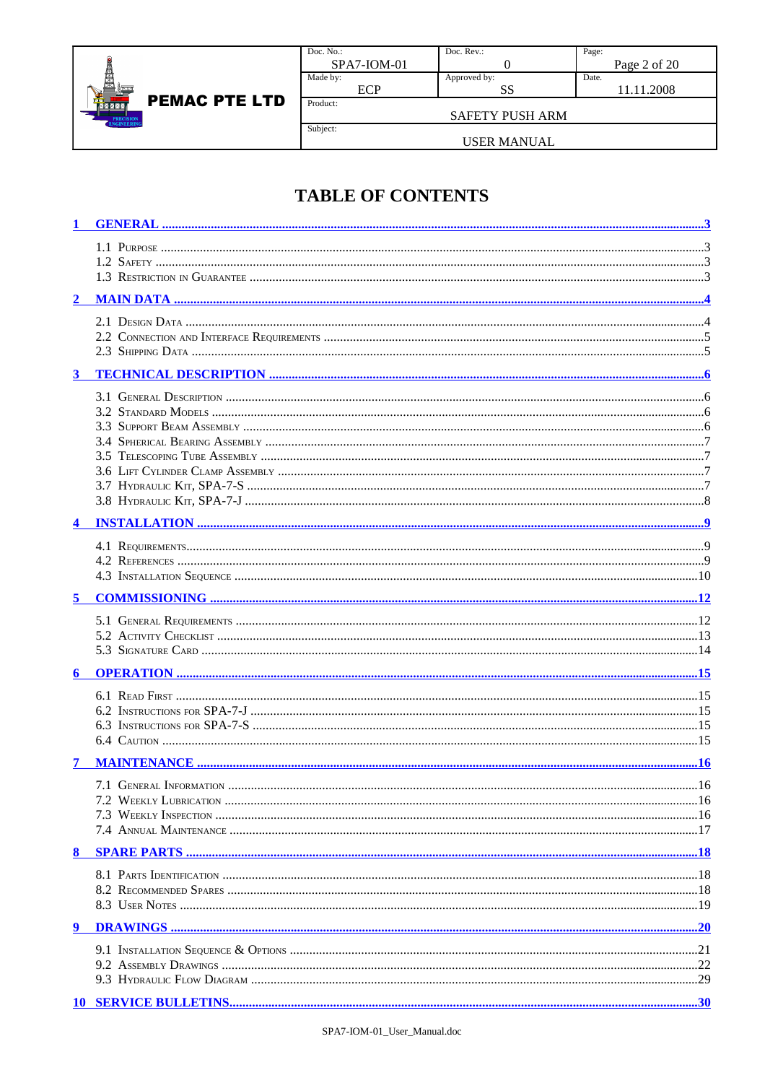

| Doc. $No.$ :  | Doc. $Rev.$ : | Page:        |
|---------------|---------------|--------------|
| $SPA7-ION-01$ |               | Page 2 of 20 |
| Made by:      | Approved by:  | Date.        |
| ΛD            | SS            | 11.11.2008   |
| Product:      |               |              |

Subject:

SAFETY PUSH ARM

#### **USER MANUAL**

### **TABLE OF CONTENTS**

| $\overline{2}$ |  |
|----------------|--|
|                |  |
|                |  |
|                |  |
|                |  |
| $\mathbf{3}$   |  |
|                |  |
|                |  |
|                |  |
|                |  |
|                |  |
|                |  |
|                |  |
|                |  |
|                |  |
|                |  |
|                |  |
|                |  |
| 5              |  |
|                |  |
|                |  |
|                |  |
| 6              |  |
|                |  |
|                |  |
|                |  |
|                |  |
|                |  |
| 7              |  |
|                |  |
|                |  |
|                |  |
|                |  |
|                |  |
|                |  |
|                |  |
|                |  |
| 9              |  |
|                |  |
|                |  |
|                |  |
|                |  |
|                |  |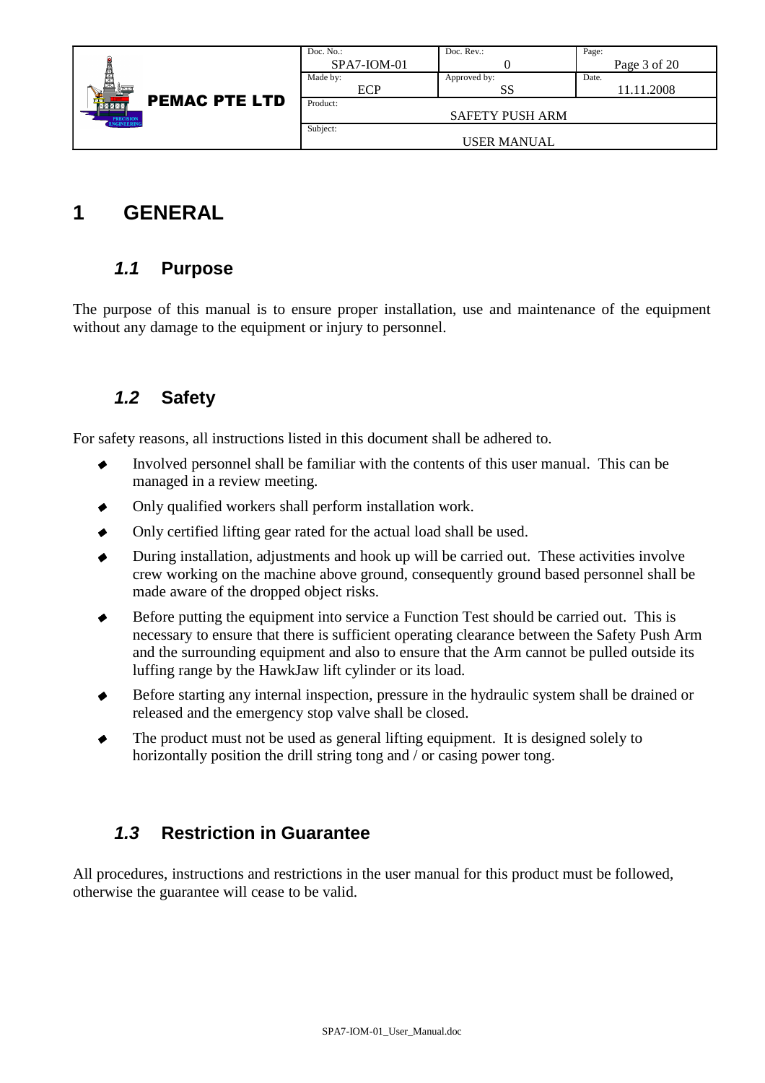|                              | Doc. No.:     | Doc. Rev.:             | Page:        |
|------------------------------|---------------|------------------------|--------------|
|                              | $SPA7-ION-01$ |                        | Page 3 of 20 |
| ₿                            | Made by:      | Approved by:           | Date.        |
|                              | ECP           | SS                     | 11.11.2008   |
| <b>PEMAC PTE LTD</b><br>MZZX | Product:      |                        |              |
| PRECISION<br>ENGINEERING     |               | <b>SAFETY PUSH ARM</b> |              |
|                              | Subject:      |                        |              |
|                              |               | <b>USER MANUAL</b>     |              |

## **1 GENERAL**

#### **1.1 Purpose**

The purpose of this manual is to ensure proper installation, use and maintenance of the equipment without any damage to the equipment or injury to personnel.

### **1.2 Safety**

For safety reasons, all instructions listed in this document shall be adhered to.

- Involved personnel shall be familiar with the contents of this user manual. This can be managed in a review meeting.
- Only qualified workers shall perform installation work.
- Only certified lifting gear rated for the actual load shall be used.
- During installation, adjustments and hook up will be carried out. These activities involve crew working on the machine above ground, consequently ground based personnel shall be made aware of the dropped object risks.
- Before putting the equipment into service a Function Test should be carried out. This is necessary to ensure that there is sufficient operating clearance between the Safety Push Arm and the surrounding equipment and also to ensure that the Arm cannot be pulled outside its luffing range by the HawkJaw lift cylinder or its load.
- Before starting any internal inspection, pressure in the hydraulic system shall be drained or released and the emergency stop valve shall be closed.
- The product must not be used as general lifting equipment. It is designed solely to horizontally position the drill string tong and / or casing power tong.

### **1.3 Restriction in Guarantee**

All procedures, instructions and restrictions in the user manual for this product must be followed, otherwise the guarantee will cease to be valid.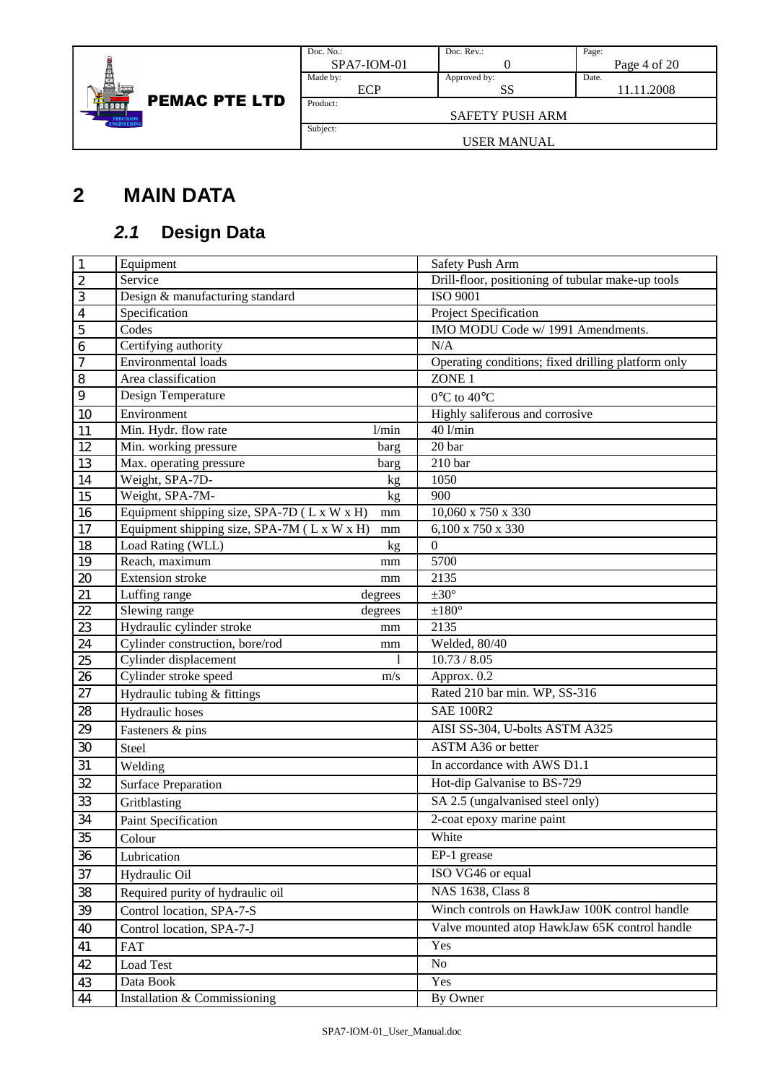

| Doc. No.:              | Doc. Rev.:   | Page:        |  |  |  |
|------------------------|--------------|--------------|--|--|--|
| $SPA7-ION-01$          |              | Page 4 of 20 |  |  |  |
| Made by:               | Approved by: | Date.        |  |  |  |
| <b>ECP</b>             | SS           | 11.11.2008   |  |  |  |
| Product:               |              |              |  |  |  |
| <b>SAFETY PUSH ARM</b> |              |              |  |  |  |
| Subject:               |              |              |  |  |  |
| USER MANUAL            |              |              |  |  |  |

# **2 MAIN DATA**

## **2.1 Design Data**

| $\vert$ 1               | Equipment                                               | Safety Push Arm                                    |
|-------------------------|---------------------------------------------------------|----------------------------------------------------|
| $\overline{2}$          | Service                                                 | Drill-floor, positioning of tubular make-up tools  |
| $\overline{\mathbf{3}}$ | Design & manufacturing standard                         | <b>ISO 9001</b>                                    |
| $\overline{4}$          | Specification                                           | Project Specification                              |
| $\overline{5}$          | Codes                                                   | IMO MODU Code w/ 1991 Amendments.                  |
| $\overline{6}$          | Certifying authority                                    | N/A                                                |
| $\overline{7}$          | Environmental loads                                     | Operating conditions; fixed drilling platform only |
| $\overline{\bf 8}$      | Area classification                                     | ZONE 1                                             |
| $\overline{9}$          | Design Temperature                                      | $0^{\circ}$ C to $40^{\circ}$ C                    |
| 10                      | Environment                                             | Highly saliferous and corrosive                    |
| 11                      | Min. Hydr. flow rate<br>1/min                           | $40$ l/min                                         |
| 12                      | Min. working pressure<br>barg                           | 20 bar                                             |
| 13                      | Max. operating pressure<br>barg                         | 210 <sub>bar</sub>                                 |
| 14                      | Weight, SPA-7D-<br>kg                                   | 1050                                               |
| $\overline{15}$         | Weight, SPA-7M-<br>kg                                   | 900                                                |
| 16                      | Equipment shipping size, SPA-7D (L x W x H)<br>$\rm mm$ | $10,060$ x 750 x 330                               |
| 17                      | Equipment shipping size, SPA-7M (L x W x H)<br>mm       | 6,100 x 750 x 330                                  |
| $18\,$                  | Load Rating (WLL)<br>kg                                 | $\boldsymbol{0}$                                   |
| 19                      | Reach, maximum<br>mm                                    | 5700                                               |
| 20                      | <b>Extension</b> stroke<br>mm                           | 2135                                               |
| 21                      | Luffing range<br>degrees                                | $\pm 30^\circ$                                     |
| 22                      | Slewing range<br>degrees                                | $\pm 180^\circ$                                    |
| 23                      | Hydraulic cylinder stroke<br>mm                         | 2135                                               |
| 24                      | Cylinder construction, bore/rod<br>mm                   | Welded, 80/40                                      |
| 25                      | Cylinder displacement<br>1                              | 10.73 / 8.05                                       |
| 26                      | Cylinder stroke speed<br>m/s                            | Approx. 0.2                                        |
| $\overline{27}$         | Hydraulic tubing & fittings                             | Rated 210 bar min. WP, SS-316                      |
| $28\,$                  | Hydraulic hoses                                         | <b>SAE 100R2</b>                                   |
| 29                      | Fasteners & pins                                        | AISI SS-304, U-bolts ASTM A325                     |
| 30                      | Steel                                                   | ASTM A36 or better                                 |
| 31                      | Welding                                                 | In accordance with AWS D1.1                        |
| 32                      | <b>Surface Preparation</b>                              | Hot-dip Galvanise to BS-729                        |
| 33                      | Gritblasting                                            | SA 2.5 (ungalvanised steel only)                   |
| 34                      | Paint Specification                                     | 2-coat epoxy marine paint                          |
| 35                      | Colour                                                  | White                                              |
| 36                      | Lubrication                                             | EP-1 grease                                        |
| 37                      | Hydraulic Oil                                           | ISO VG46 or equal                                  |
| 38                      | Required purity of hydraulic oil                        | <b>NAS 1638, Class 8</b>                           |
| 39                      | Control location, SPA-7-S                               | Winch controls on HawkJaw 100K control handle      |
| 40                      | Control location, SPA-7-J                               | Valve mounted atop HawkJaw 65K control handle      |
| 41                      | <b>FAT</b>                                              | Yes                                                |
| 42                      | Load Test                                               | No                                                 |
| 43                      | Data Book                                               | Yes                                                |
| 44                      | Installation & Commissioning                            | By Owner                                           |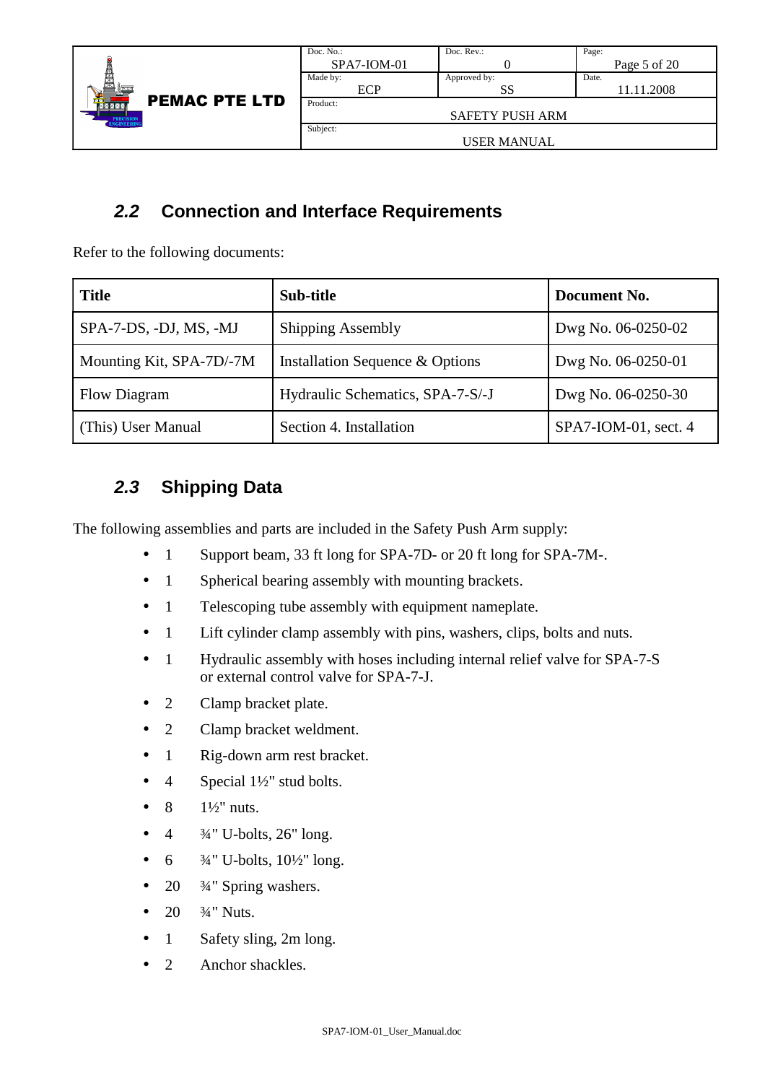|                                      | Doc. No.:     | Doc. $Rev.$ :          | Page:        |
|--------------------------------------|---------------|------------------------|--------------|
|                                      | $SPA7-ION-01$ |                        | Page 5 of 20 |
|                                      | Made by:      | Approved by:           | Date.        |
|                                      | ECP           | SS                     | 11.11.2008   |
| <b>PEMAC PTE LTD</b><br><b>NXXXI</b> | Product:      |                        |              |
| PRECISION<br>ENGINEERING             |               | <b>SAFETY PUSH ARM</b> |              |
|                                      | Subject:      |                        |              |
|                                      |               | USER MANUAL            |              |

### **2.2 Connection and Interface Requirements**

Refer to the following documents:

| <b>Title</b>             | Sub-title                        | Document No.         |
|--------------------------|----------------------------------|----------------------|
| SPA-7-DS, -DJ, MS, -MJ   | <b>Shipping Assembly</b>         | Dwg No. 06-0250-02   |
| Mounting Kit, SPA-7D/-7M | Installation Sequence & Options  | Dwg No. 06-0250-01   |
| Flow Diagram             | Hydraulic Schematics, SPA-7-S/-J | Dwg No. 06-0250-30   |
| (This) User Manual       | Section 4. Installation          | SPA7-IOM-01, sect. 4 |

## **2.3 Shipping Data**

The following assemblies and parts are included in the Safety Push Arm supply:

- 1 Support beam, 33 ft long for SPA-7D- or 20 ft long for SPA-7M-.
- 1 Spherical bearing assembly with mounting brackets.
- 1 Telescoping tube assembly with equipment nameplate.
- 1 Lift cylinder clamp assembly with pins, washers, clips, bolts and nuts.
- 1 Hydraulic assembly with hoses including internal relief valve for SPA-7-S or external control valve for SPA-7-J.
- 2 Clamp bracket plate.
- 2 Clamp bracket weldment.
- 1 Rig-down arm rest bracket.
- 4 Special  $1\frac{1}{2}$ " stud bolts.
- 8  $1\frac{1}{2}$ " nuts.
- 4 ¾" U-bolts, 26" long.
- $6 \frac{3}{4}$ " U-bolts,  $10\frac{1}{2}$ " long.
- 20  $\frac{3}{4}$ " Spring washers.
- 20  $\frac{3}{4}$ " Nuts.
- 1 Safety sling, 2m long.
- 2 Anchor shackles.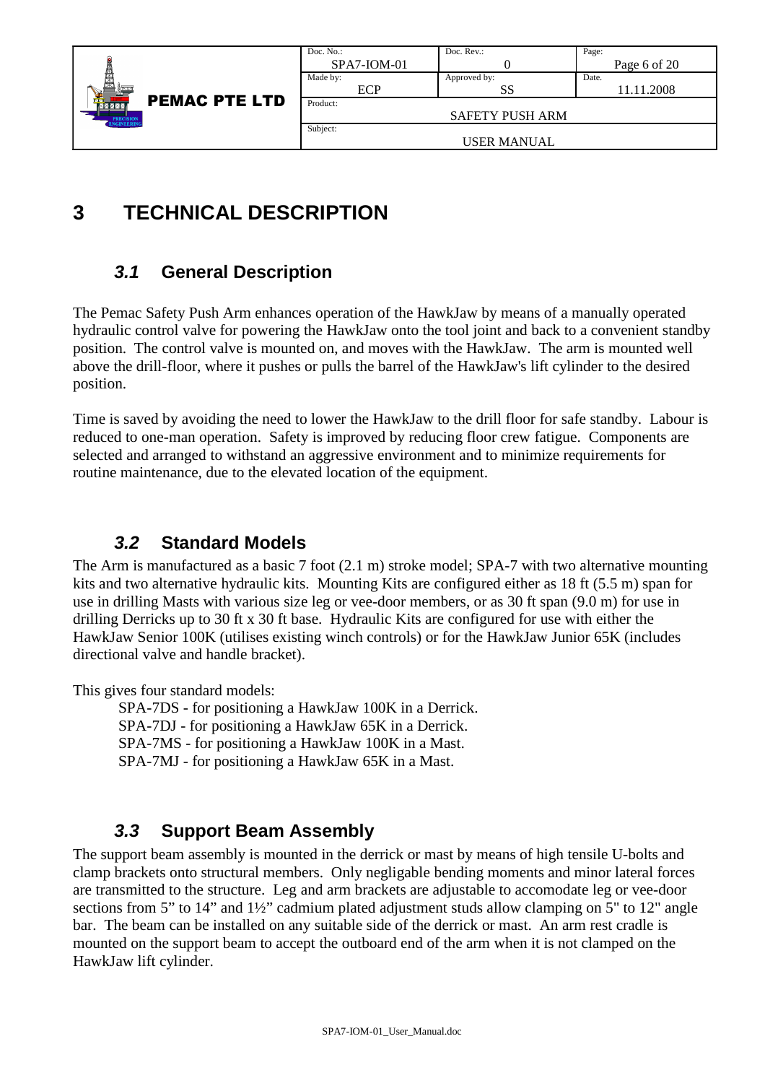|                                                                  | Doc. No.:<br>$SPA7-ION-01$ | Doc. Rev.:             | Page:<br>Page 6 of 20 |
|------------------------------------------------------------------|----------------------------|------------------------|-----------------------|
|                                                                  | Made by:<br>ECP            | Approved by:<br>SS     | Date.<br>11.11.2008   |
| <b>PEMAC PTE LTD</b><br><b>NXXXX</b><br>PRECISION<br>ENGINEERING | Product:                   | <b>SAFETY PUSH ARM</b> |                       |
|                                                                  | Subject:                   | USER MANUAL            |                       |

## **3 TECHNICAL DESCRIPTION**

### **3.1 General Description**

The Pemac Safety Push Arm enhances operation of the HawkJaw by means of a manually operated hydraulic control valve for powering the HawkJaw onto the tool joint and back to a convenient standby position. The control valve is mounted on, and moves with the HawkJaw. The arm is mounted well above the drill-floor, where it pushes or pulls the barrel of the HawkJaw's lift cylinder to the desired position.

Time is saved by avoiding the need to lower the HawkJaw to the drill floor for safe standby. Labour is reduced to one-man operation. Safety is improved by reducing floor crew fatigue. Components are selected and arranged to withstand an aggressive environment and to minimize requirements for routine maintenance, due to the elevated location of the equipment.

#### **3.2 Standard Models**

The Arm is manufactured as a basic 7 foot (2.1 m) stroke model; SPA-7 with two alternative mounting kits and two alternative hydraulic kits. Mounting Kits are configured either as 18 ft (5.5 m) span for use in drilling Masts with various size leg or vee-door members, or as 30 ft span (9.0 m) for use in drilling Derricks up to 30 ft x 30 ft base. Hydraulic Kits are configured for use with either the HawkJaw Senior 100K (utilises existing winch controls) or for the HawkJaw Junior 65K (includes directional valve and handle bracket).

This gives four standard models:

SPA-7DS - for positioning a HawkJaw 100K in a Derrick. SPA-7DJ - for positioning a HawkJaw 65K in a Derrick. SPA-7MS - for positioning a HawkJaw 100K in a Mast. SPA-7MJ - for positioning a HawkJaw 65K in a Mast.

### **3.3 Support Beam Assembly**

The support beam assembly is mounted in the derrick or mast by means of high tensile U-bolts and clamp brackets onto structural members. Only negligable bending moments and minor lateral forces are transmitted to the structure. Leg and arm brackets are adjustable to accomodate leg or vee-door sections from 5" to 14" and 1½" cadmium plated adjustment studs allow clamping on 5" to 12" angle bar. The beam can be installed on any suitable side of the derrick or mast. An arm rest cradle is mounted on the support beam to accept the outboard end of the arm when it is not clamped on the HawkJaw lift cylinder.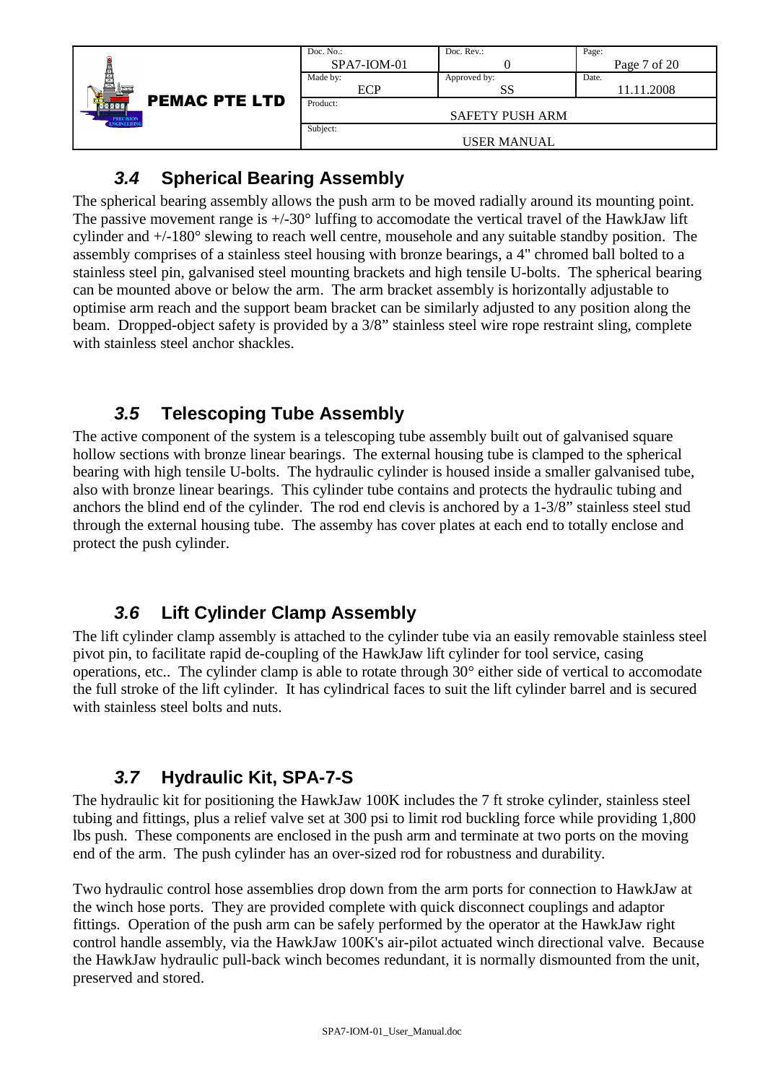|                                      | Doc. No.:     | Doc. $Rev.$ :          | Page:        |
|--------------------------------------|---------------|------------------------|--------------|
|                                      | $SPA7-ION-01$ |                        | Page 7 of 20 |
|                                      | Made by:      | Approved by:           | Date.        |
|                                      | ECP           | SS                     | 11.11.2008   |
| <b>PEMAC PTE LTD</b><br><b>MXXXX</b> | Product:      |                        |              |
| <b>PRECISION</b><br>ENGINEERING      |               | <b>SAFETY PUSH ARM</b> |              |
|                                      | Subject:      |                        |              |
|                                      |               | <b>USER MANUAL</b>     |              |

### **3.4 Spherical Bearing Assembly**

The spherical bearing assembly allows the push arm to be moved radially around its mounting point. The passive movement range is  $+/-30^{\circ}$  luffing to accomodate the vertical travel of the HawkJaw lift cylinder and +/-180° slewing to reach well centre, mousehole and any suitable standby position. The assembly comprises of a stainless steel housing with bronze bearings, a 4" chromed ball bolted to a stainless steel pin, galvanised steel mounting brackets and high tensile U-bolts. The spherical bearing can be mounted above or below the arm. The arm bracket assembly is horizontally adjustable to optimise arm reach and the support beam bracket can be similarly adjusted to any position along the beam. Dropped-object safety is provided by a 3/8" stainless steel wire rope restraint sling, complete with stainless steel anchor shackles.

## **3.5 Telescoping Tube Assembly**

The active component of the system is a telescoping tube assembly built out of galvanised square hollow sections with bronze linear bearings. The external housing tube is clamped to the spherical bearing with high tensile U-bolts. The hydraulic cylinder is housed inside a smaller galvanised tube, also with bronze linear bearings. This cylinder tube contains and protects the hydraulic tubing and anchors the blind end of the cylinder. The rod end clevis is anchored by a 1-3/8" stainless steel stud through the external housing tube. The assemby has cover plates at each end to totally enclose and protect the push cylinder.

## **3.6 Lift Cylinder Clamp Assembly**

The lift cylinder clamp assembly is attached to the cylinder tube via an easily removable stainless steel pivot pin, to facilitate rapid de-coupling of the HawkJaw lift cylinder for tool service, casing operations, etc.. The cylinder clamp is able to rotate through 30° either side of vertical to accomodate the full stroke of the lift cylinder. It has cylindrical faces to suit the lift cylinder barrel and is secured with stainless steel bolts and nuts.

## **3.7 Hydraulic Kit, SPA-7-S**

The hydraulic kit for positioning the HawkJaw 100K includes the 7 ft stroke cylinder, stainless steel tubing and fittings, plus a relief valve set at 300 psi to limit rod buckling force while providing 1,800 lbs push. These components are enclosed in the push arm and terminate at two ports on the moving end of the arm. The push cylinder has an over-sized rod for robustness and durability.

Two hydraulic control hose assemblies drop down from the arm ports for connection to HawkJaw at the winch hose ports. They are provided complete with quick disconnect couplings and adaptor fittings. Operation of the push arm can be safely performed by the operator at the HawkJaw right control handle assembly, via the HawkJaw 100K's air-pilot actuated winch directional valve. Because the HawkJaw hydraulic pull-back winch becomes redundant, it is normally dismounted from the unit, preserved and stored.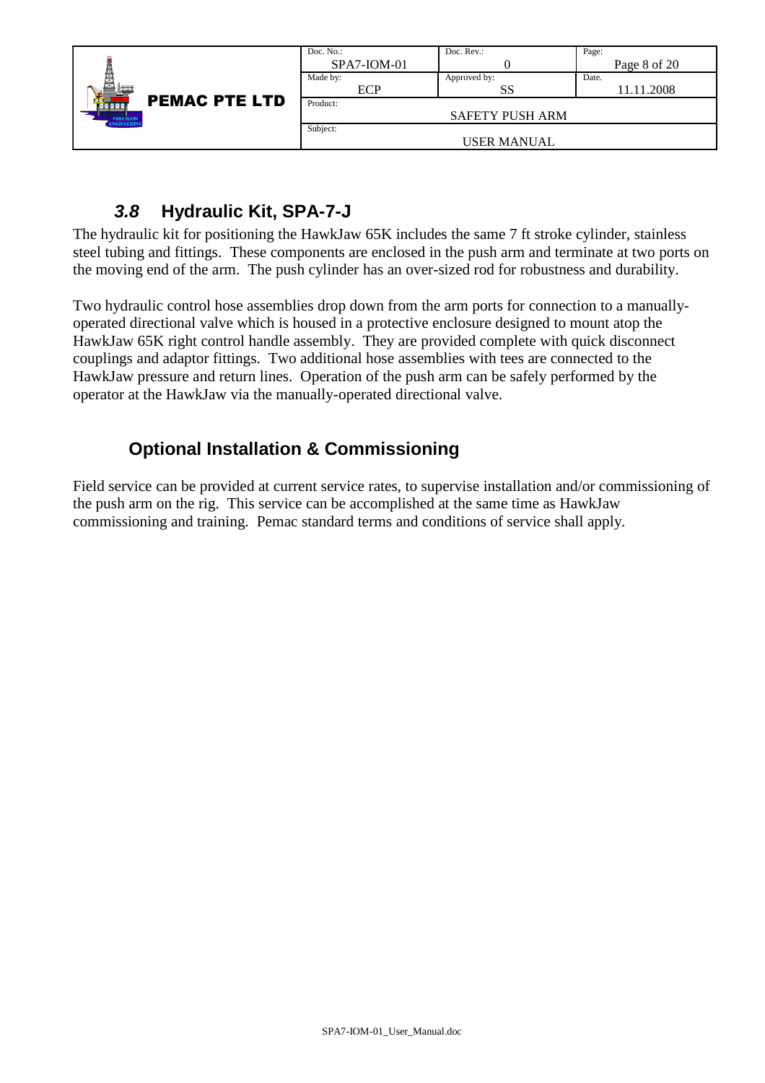|                                 | Doc. No.:     | Doc. Rev.:             | Page:        |
|---------------------------------|---------------|------------------------|--------------|
|                                 | $SPA7-ION-01$ |                        | Page 8 of 20 |
| 輿                               | Made by:      | Approved by:           | Date.        |
|                                 | ECP           | SS                     | 11.11.2008   |
| <b>PEMAC PTE LTD</b><br>MXXXX   | Product:      |                        |              |
| <b>PRECISION</b><br>ENGINEERING |               | <b>SAFETY PUSH ARM</b> |              |
|                                 | Subject:      |                        |              |
|                                 |               | USER MANUAL            |              |

### **3.8 Hydraulic Kit, SPA-7-J**

The hydraulic kit for positioning the HawkJaw 65K includes the same 7 ft stroke cylinder, stainless steel tubing and fittings. These components are enclosed in the push arm and terminate at two ports on the moving end of the arm. The push cylinder has an over-sized rod for robustness and durability.

Two hydraulic control hose assemblies drop down from the arm ports for connection to a manuallyoperated directional valve which is housed in a protective enclosure designed to mount atop the HawkJaw 65K right control handle assembly. They are provided complete with quick disconnect couplings and adaptor fittings. Two additional hose assemblies with tees are connected to the HawkJaw pressure and return lines. Operation of the push arm can be safely performed by the operator at the HawkJaw via the manually-operated directional valve.

## **Optional Installation & Commissioning**

Field service can be provided at current service rates, to supervise installation and/or commissioning of the push arm on the rig. This service can be accomplished at the same time as HawkJaw commissioning and training. Pemac standard terms and conditions of service shall apply.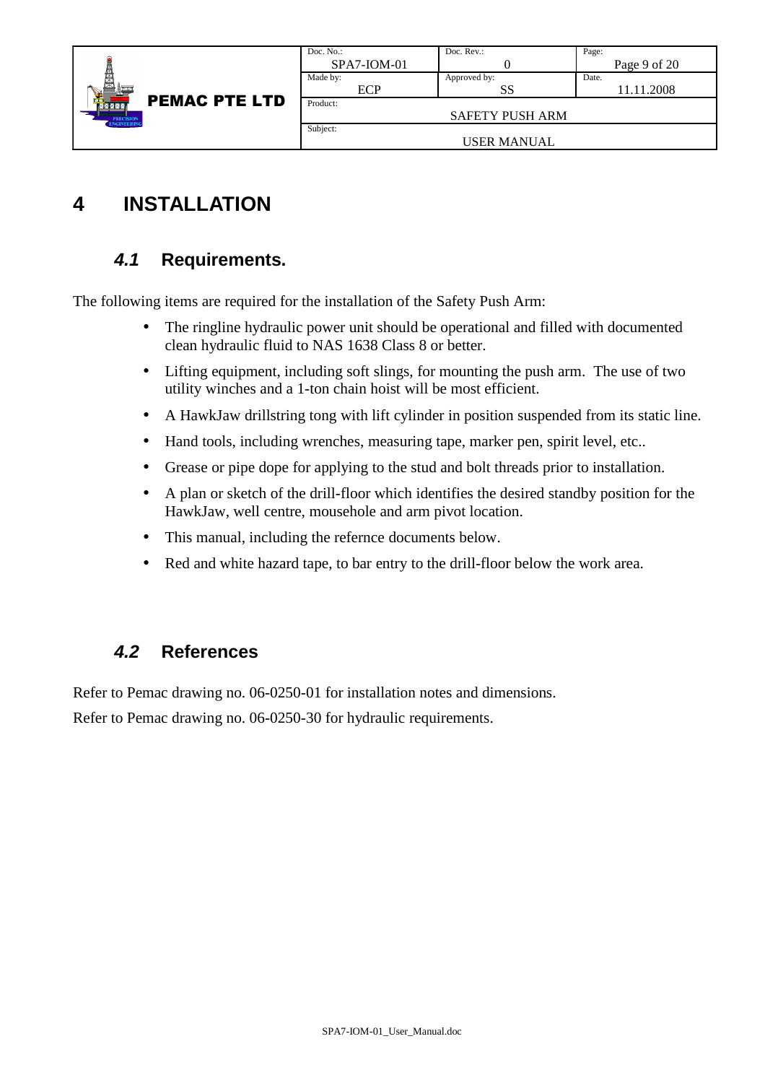|                                 | Doc. No.:     | Doc. $Rev.$ :          | Page:        |
|---------------------------------|---------------|------------------------|--------------|
|                                 | $SPA7-ION-01$ |                        | Page 9 of 20 |
|                                 | Made by:      | Approved by:           | Date.        |
|                                 | ECP           | SS                     | 11.11.2008   |
| <b>PEMAC PTE LTD</b><br>MZZM    | Product:      |                        |              |
| <b>PRECISION</b><br>ENGINEERING |               | <b>SAFETY PUSH ARM</b> |              |
|                                 | Subject:      |                        |              |
|                                 |               | USER MANUAL            |              |

## **4 INSTALLATION**

### **4.1 Requirements.**

The following items are required for the installation of the Safety Push Arm:

- The ringline hydraulic power unit should be operational and filled with documented clean hydraulic fluid to NAS 1638 Class 8 or better.
- Lifting equipment, including soft slings, for mounting the push arm. The use of two utility winches and a 1-ton chain hoist will be most efficient.
- A HawkJaw drillstring tong with lift cylinder in position suspended from its static line.
- Hand tools, including wrenches, measuring tape, marker pen, spirit level, etc..
- Grease or pipe dope for applying to the stud and bolt threads prior to installation.
- A plan or sketch of the drill-floor which identifies the desired standby position for the HawkJaw, well centre, mousehole and arm pivot location.
- This manual, including the refernce documents below.
- Red and white hazard tape, to bar entry to the drill-floor below the work area.

#### **4.2 References**

Refer to Pemac drawing no. 06-0250-01 for installation notes and dimensions.

Refer to Pemac drawing no. 06-0250-30 for hydraulic requirements.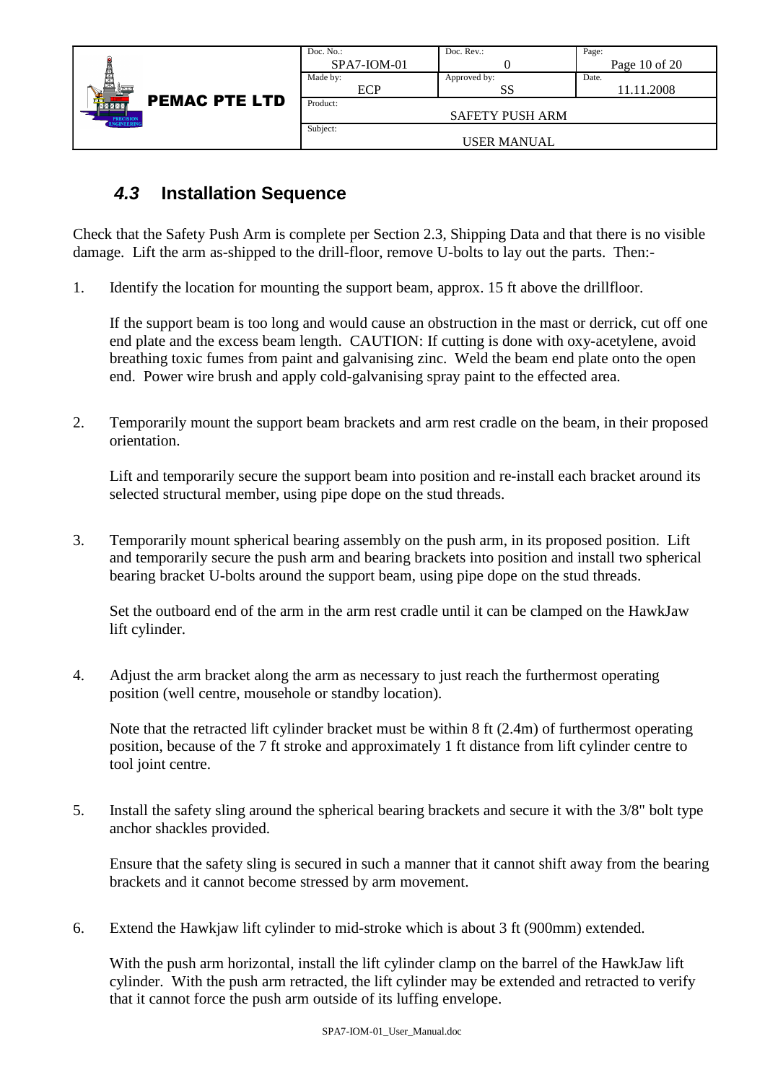|                                                                        | Doc. $No.$ :  | Doc. Rev.:             | Page:             |
|------------------------------------------------------------------------|---------------|------------------------|-------------------|
|                                                                        | $SPA7-ION-01$ |                        | Page $10$ of $20$ |
| Ş                                                                      | Made by:      | Approved by:           | Date.             |
| <b>PEMAC PTE LTD</b><br>MZXM<br><b>PRECISION</b><br><b>ENGINEERING</b> | <b>ECP</b>    | SS                     | 11.11.2008        |
|                                                                        | Product:      |                        |                   |
|                                                                        |               | <b>SAFETY PUSH ARM</b> |                   |
|                                                                        | Subject:      |                        |                   |
|                                                                        |               | <b>USER MANUAL</b>     |                   |

#### **4.3 Installation Sequence**

Check that the Safety Push Arm is complete per Section 2.3, Shipping Data and that there is no visible damage. Lift the arm as-shipped to the drill-floor, remove U-bolts to lay out the parts. Then:-

1. Identify the location for mounting the support beam, approx. 15 ft above the drillfloor.

If the support beam is too long and would cause an obstruction in the mast or derrick, cut off one end plate and the excess beam length. CAUTION: If cutting is done with oxy-acetylene, avoid breathing toxic fumes from paint and galvanising zinc. Weld the beam end plate onto the open end. Power wire brush and apply cold-galvanising spray paint to the effected area.

2. Temporarily mount the support beam brackets and arm rest cradle on the beam, in their proposed orientation.

Lift and temporarily secure the support beam into position and re-install each bracket around its selected structural member, using pipe dope on the stud threads.

3. Temporarily mount spherical bearing assembly on the push arm, in its proposed position. Lift and temporarily secure the push arm and bearing brackets into position and install two spherical bearing bracket U-bolts around the support beam, using pipe dope on the stud threads.

Set the outboard end of the arm in the arm rest cradle until it can be clamped on the HawkJaw lift cylinder.

4. Adjust the arm bracket along the arm as necessary to just reach the furthermost operating position (well centre, mousehole or standby location).

Note that the retracted lift cylinder bracket must be within 8 ft (2.4m) of furthermost operating position, because of the 7 ft stroke and approximately 1 ft distance from lift cylinder centre to tool joint centre.

5. Install the safety sling around the spherical bearing brackets and secure it with the 3/8" bolt type anchor shackles provided.

Ensure that the safety sling is secured in such a manner that it cannot shift away from the bearing brackets and it cannot become stressed by arm movement.

6. Extend the Hawkjaw lift cylinder to mid-stroke which is about 3 ft (900mm) extended.

With the push arm horizontal, install the lift cylinder clamp on the barrel of the HawkJaw lift cylinder. With the push arm retracted, the lift cylinder may be extended and retracted to verify that it cannot force the push arm outside of its luffing envelope.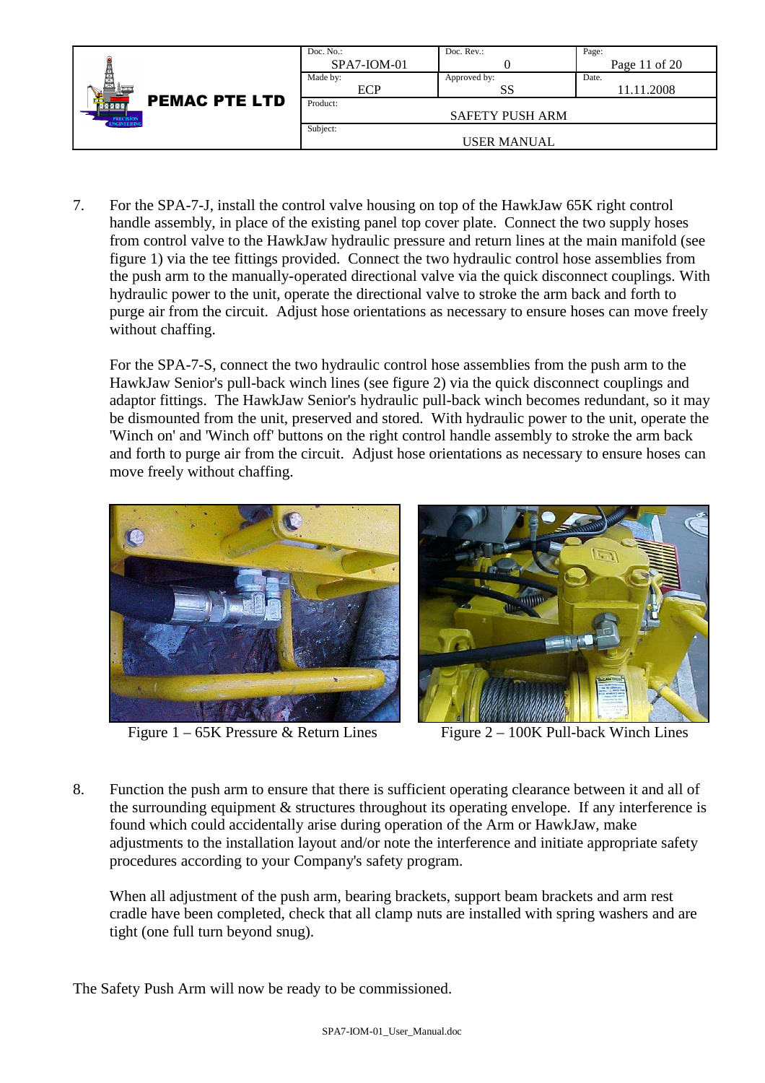|                                        | Doc. $No.$ :  | Doc. Rev.:             | Page:           |
|----------------------------------------|---------------|------------------------|-----------------|
|                                        | $SPA7-ION-01$ |                        | Page 11 of $20$ |
| 関東                                     | Made by:      | Approved by:           | Date.           |
|                                        | ECP           | SS                     | 11.11.2008      |
| <b>PEMAC PTE LTD</b><br>MXXXX          | Product:      |                        |                 |
| <b>PRECISION</b><br><b>ENGINEERING</b> |               | <b>SAFETY PUSH ARM</b> |                 |
|                                        | Subject:      |                        |                 |
|                                        |               | USER MANUAL            |                 |

7. For the SPA-7-J, install the control valve housing on top of the HawkJaw 65K right control handle assembly, in place of the existing panel top cover plate. Connect the two supply hoses from control valve to the HawkJaw hydraulic pressure and return lines at the main manifold (see figure 1) via the tee fittings provided. Connect the two hydraulic control hose assemblies from the push arm to the manually-operated directional valve via the quick disconnect couplings. With hydraulic power to the unit, operate the directional valve to stroke the arm back and forth to purge air from the circuit. Adjust hose orientations as necessary to ensure hoses can move freely without chaffing.

For the SPA-7-S, connect the two hydraulic control hose assemblies from the push arm to the HawkJaw Senior's pull-back winch lines (see figure 2) via the quick disconnect couplings and adaptor fittings. The HawkJaw Senior's hydraulic pull-back winch becomes redundant, so it may be dismounted from the unit, preserved and stored. With hydraulic power to the unit, operate the 'Winch on' and 'Winch off' buttons on the right control handle assembly to stroke the arm back and forth to purge air from the circuit. Adjust hose orientations as necessary to ensure hoses can move freely without chaffing.



Figure 1 – 65K Pressure & Return Lines Figure 2 – 100K Pull-back Winch Lines



8. Function the push arm to ensure that there is sufficient operating clearance between it and all of the surrounding equipment & structures throughout its operating envelope. If any interference is found which could accidentally arise during operation of the Arm or HawkJaw, make adjustments to the installation layout and/or note the interference and initiate appropriate safety procedures according to your Company's safety program.

When all adjustment of the push arm, bearing brackets, support beam brackets and arm rest cradle have been completed, check that all clamp nuts are installed with spring washers and are tight (one full turn beyond snug).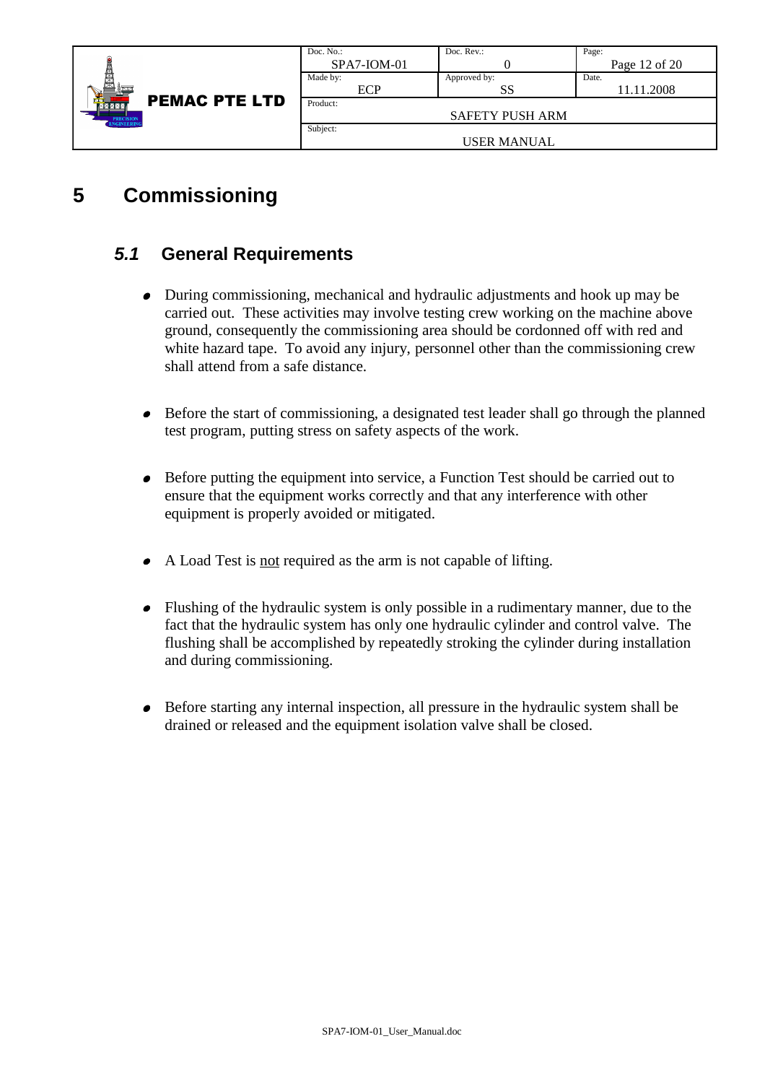|                                                                                    | Doc. $No.$ :  | Doc. Rev.:             | Page:         |
|------------------------------------------------------------------------------------|---------------|------------------------|---------------|
| Ç<br><b>PEMAC PTE LTD</b><br><b>MXXX</b><br><b>PRECISION</b><br><b>ENGINEERING</b> | $SPA7-ION-01$ |                        | Page 12 of 20 |
|                                                                                    | Made by:      | Approved by:           | Date.         |
|                                                                                    | ECP           | SS                     | 11.11.2008    |
|                                                                                    | Product:      |                        |               |
|                                                                                    |               | <b>SAFETY PUSH ARM</b> |               |
|                                                                                    | Subject:      |                        |               |
|                                                                                    |               | <b>USER MANUAL</b>     |               |

## **5 Commissioning**

#### **5.1 General Requirements**

- During commissioning, mechanical and hydraulic adjustments and hook up may be carried out. These activities may involve testing crew working on the machine above ground, consequently the commissioning area should be cordonned off with red and white hazard tape. To avoid any injury, personnel other than the commissioning crew shall attend from a safe distance.
- Before the start of commissioning, a designated test leader shall go through the planned test program, putting stress on safety aspects of the work.
- Before putting the equipment into service, a Function Test should be carried out to ensure that the equipment works correctly and that any interference with other equipment is properly avoided or mitigated.
- A Load Test is not required as the arm is not capable of lifting.
- Flushing of the hydraulic system is only possible in a rudimentary manner, due to the fact that the hydraulic system has only one hydraulic cylinder and control valve. The flushing shall be accomplished by repeatedly stroking the cylinder during installation and during commissioning.
- Before starting any internal inspection, all pressure in the hydraulic system shall be drained or released and the equipment isolation valve shall be closed.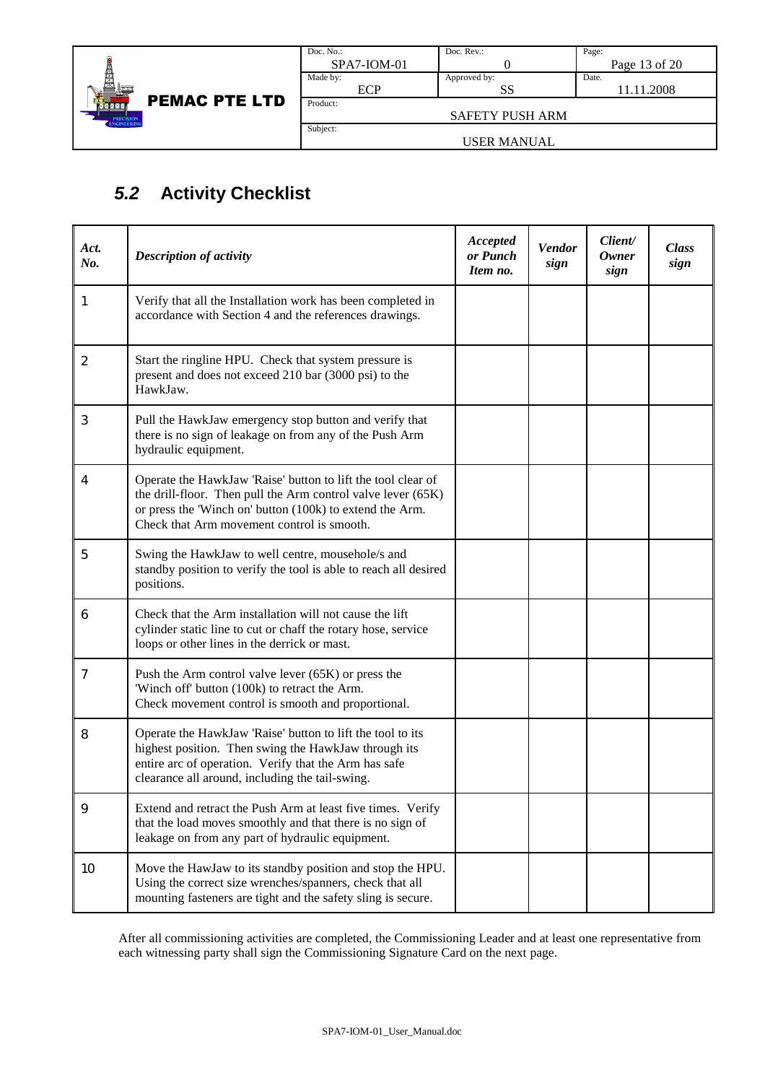

| Doc. No.:     | Doc. Rev.:             | Page:         |  |  |  |
|---------------|------------------------|---------------|--|--|--|
| $SPA7-ION-01$ |                        | Page 13 of 20 |  |  |  |
| Made by:      | Approved by:           | Date.         |  |  |  |
| <b>ECP</b>    | SS                     | 11.11.2008    |  |  |  |
| Product:      |                        |               |  |  |  |
|               | <b>SAFETY PUSH ARM</b> |               |  |  |  |
| Subject:      |                        |               |  |  |  |
| USER MANUAL   |                        |               |  |  |  |

## **5.2 Activity Checklist**

| Act.<br>No.    | <b>Description of activity</b>                                                                                                                                                                                                         | Accepted<br>or Punch<br>Item no. | <b>Vendor</b><br>sign | Client/<br><b>Owner</b><br>sign | <b>Class</b><br>sign |
|----------------|----------------------------------------------------------------------------------------------------------------------------------------------------------------------------------------------------------------------------------------|----------------------------------|-----------------------|---------------------------------|----------------------|
| 1              | Verify that all the Installation work has been completed in<br>accordance with Section 4 and the references drawings.                                                                                                                  |                                  |                       |                                 |                      |
| $\overline{2}$ | Start the ringline HPU. Check that system pressure is<br>present and does not exceed 210 bar (3000 psi) to the<br>HawkJaw.                                                                                                             |                                  |                       |                                 |                      |
| 3              | Pull the HawkJaw emergency stop button and verify that<br>there is no sign of leakage on from any of the Push Arm<br>hydraulic equipment.                                                                                              |                                  |                       |                                 |                      |
| 4              | Operate the HawkJaw 'Raise' button to lift the tool clear of<br>the drill-floor. Then pull the Arm control valve lever (65K)<br>or press the 'Winch on' button (100k) to extend the Arm.<br>Check that Arm movement control is smooth. |                                  |                       |                                 |                      |
| 5              | Swing the HawkJaw to well centre, mousehole/s and<br>standby position to verify the tool is able to reach all desired<br>positions.                                                                                                    |                                  |                       |                                 |                      |
| 6              | Check that the Arm installation will not cause the lift<br>cylinder static line to cut or chaff the rotary hose, service<br>loops or other lines in the derrick or mast.                                                               |                                  |                       |                                 |                      |
| 7              | Push the Arm control valve lever $(65K)$ or press the<br>'Winch off' button (100k) to retract the Arm.<br>Check movement control is smooth and proportional.                                                                           |                                  |                       |                                 |                      |
| 8              | Operate the HawkJaw 'Raise' button to lift the tool to its<br>highest position. Then swing the HawkJaw through its<br>entire arc of operation. Verify that the Arm has safe<br>clearance all around, including the tail-swing.         |                                  |                       |                                 |                      |
| 9              | Extend and retract the Push Arm at least five times. Verify<br>that the load moves smoothly and that there is no sign of<br>leakage on from any part of hydraulic equipment.                                                           |                                  |                       |                                 |                      |
| 10             | Move the HawJaw to its standby position and stop the HPU.<br>Using the correct size wrenches/spanners, check that all<br>mounting fasteners are tight and the safety sling is secure.                                                  |                                  |                       |                                 |                      |

After all commissioning activities are completed, the Commissioning Leader and at least one representative from each witnessing party shall sign the Commissioning Signature Card on the next page.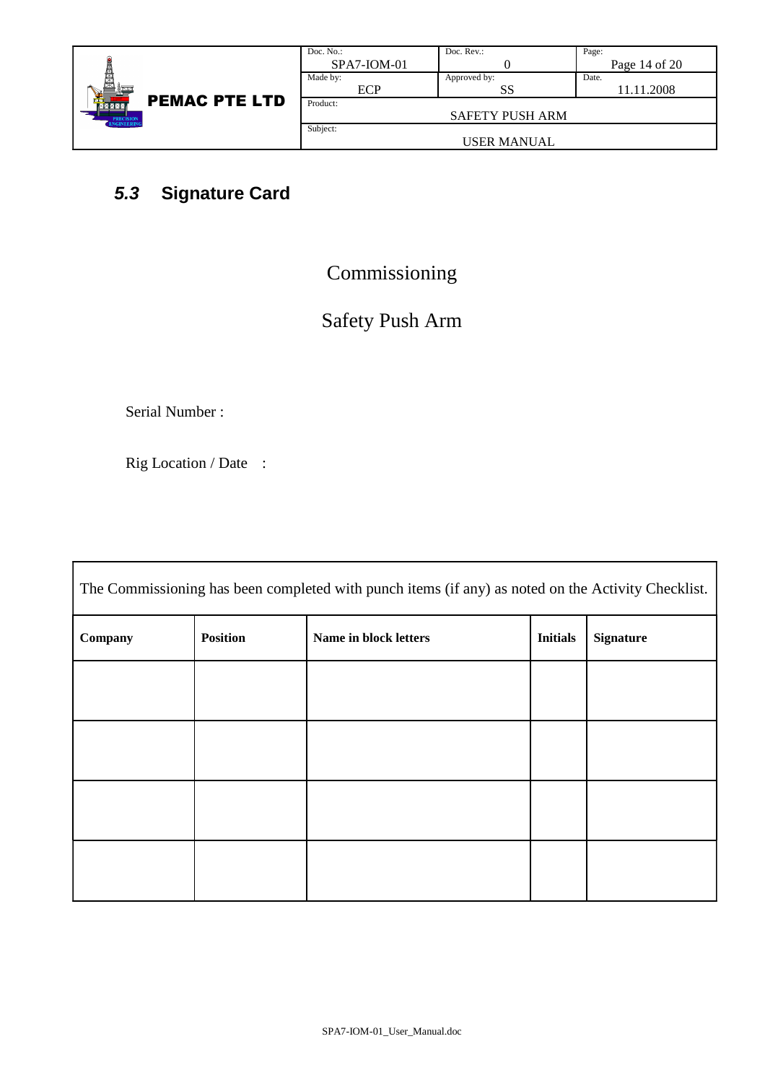|                                        | Doc. $No.$ : | Doc. Rev.:             | Page: |
|----------------------------------------|--------------|------------------------|-------|
|                                        | SPA7-IOM-01  |                        |       |
| ê                                      | Made by:     | Approved by:           | Date. |
|                                        | <b>ECP</b>   | SS                     |       |
| <b>PEMAC PTE LTD</b><br>MMM            | Product:     |                        |       |
| <b>PRECISION</b><br><b>ENGINEERING</b> |              | <b>SAFETY PUSH ARM</b> |       |
|                                        | Subject:     |                        |       |
|                                        |              | <b>USER MANUAL</b>     |       |

## **5.3 Signature Card**

## Commissioning

Page 14 of 20

11.11.2008

# Safety Push Arm

Serial Number :

Rig Location / Date :

| The Commissioning has been completed with punch items (if any) as noted on the Activity Checklist. |                 |                       |                 |                  |
|----------------------------------------------------------------------------------------------------|-----------------|-----------------------|-----------------|------------------|
| Company                                                                                            | <b>Position</b> | Name in block letters | <b>Initials</b> | <b>Signature</b> |
|                                                                                                    |                 |                       |                 |                  |
|                                                                                                    |                 |                       |                 |                  |
|                                                                                                    |                 |                       |                 |                  |
|                                                                                                    |                 |                       |                 |                  |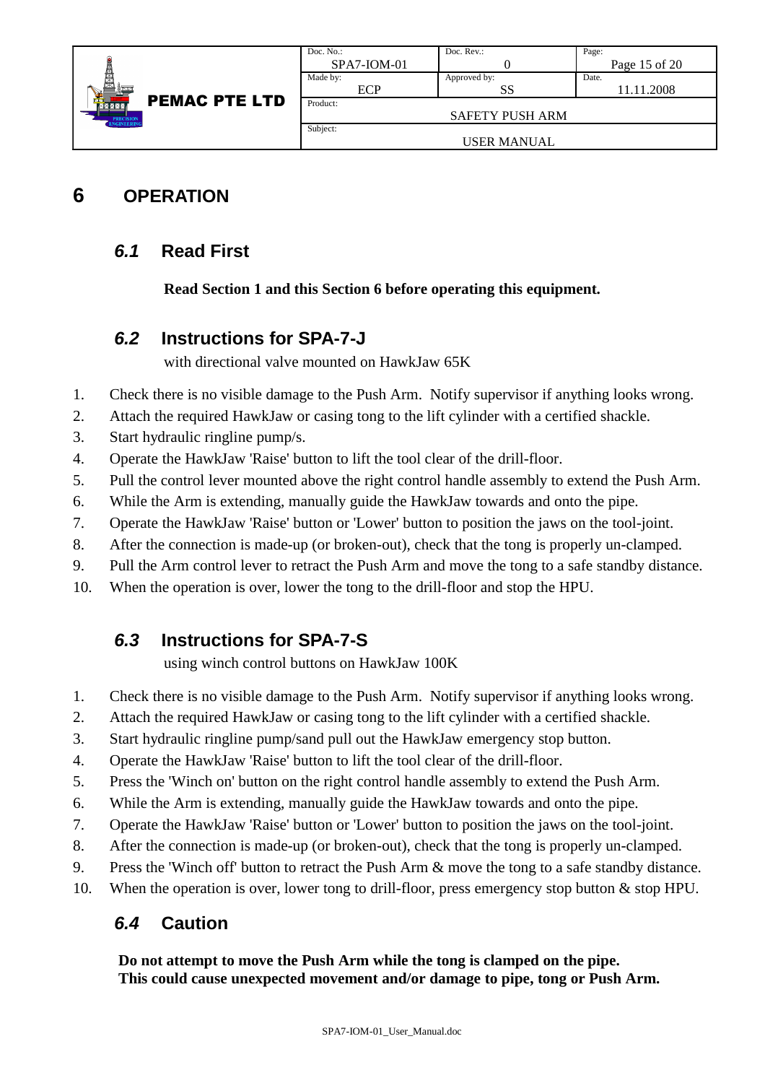|                                                                            | Doc. $No.$ :  | Doc. Rev.:             | Page:         |
|----------------------------------------------------------------------------|---------------|------------------------|---------------|
| 関<br><b>PEMAC PTE LTD</b><br>壺<br><b>NZXXX</b><br>PRECISION<br>ENGINEERING | $SPA7-ION-01$ |                        | Page 15 of 20 |
|                                                                            | Made by:      | Approved by:           | Date.         |
|                                                                            | ECP           | SS                     | 11.11.2008    |
|                                                                            | Product:      |                        |               |
|                                                                            |               | <b>SAFETY PUSH ARM</b> |               |
|                                                                            | Subject:      |                        |               |
|                                                                            |               | <b>USER MANUAL</b>     |               |

## **6 OPERATION**

#### **6.1 Read First**

**Read Section 1 and this Section 6 before operating this equipment.**

#### **6.2 Instructions for SPA-7-J**

with directional valve mounted on HawkJaw 65K

- 1. Check there is no visible damage to the Push Arm. Notify supervisor if anything looks wrong.
- 2. Attach the required HawkJaw or casing tong to the lift cylinder with a certified shackle.
- 3. Start hydraulic ringline pump/s.
- 4. Operate the HawkJaw 'Raise' button to lift the tool clear of the drill-floor.
- 5. Pull the control lever mounted above the right control handle assembly to extend the Push Arm.
- 6. While the Arm is extending, manually guide the HawkJaw towards and onto the pipe.
- 7. Operate the HawkJaw 'Raise' button or 'Lower' button to position the jaws on the tool-joint.
- 8. After the connection is made-up (or broken-out), check that the tong is properly un-clamped.
- 9. Pull the Arm control lever to retract the Push Arm and move the tong to a safe standby distance.
- 10. When the operation is over, lower the tong to the drill-floor and stop the HPU.

### **6.3 Instructions for SPA-7-S**

using winch control buttons on HawkJaw 100K

- 1. Check there is no visible damage to the Push Arm. Notify supervisor if anything looks wrong.
- 2. Attach the required HawkJaw or casing tong to the lift cylinder with a certified shackle.
- 3. Start hydraulic ringline pump/sand pull out the HawkJaw emergency stop button.
- 4. Operate the HawkJaw 'Raise' button to lift the tool clear of the drill-floor.
- 5. Press the 'Winch on' button on the right control handle assembly to extend the Push Arm.
- 6. While the Arm is extending, manually guide the HawkJaw towards and onto the pipe.
- 7. Operate the HawkJaw 'Raise' button or 'Lower' button to position the jaws on the tool-joint.
- 8. After the connection is made-up (or broken-out), check that the tong is properly un-clamped.
- 9. Press the 'Winch off' button to retract the Push Arm & move the tong to a safe standby distance.
- 10. When the operation is over, lower tong to drill-floor, press emergency stop button & stop HPU.

### **6.4 Caution**

**Do not attempt to move the Push Arm while the tong is clamped on the pipe. This could cause unexpected movement and/or damage to pipe, tong or Push Arm.**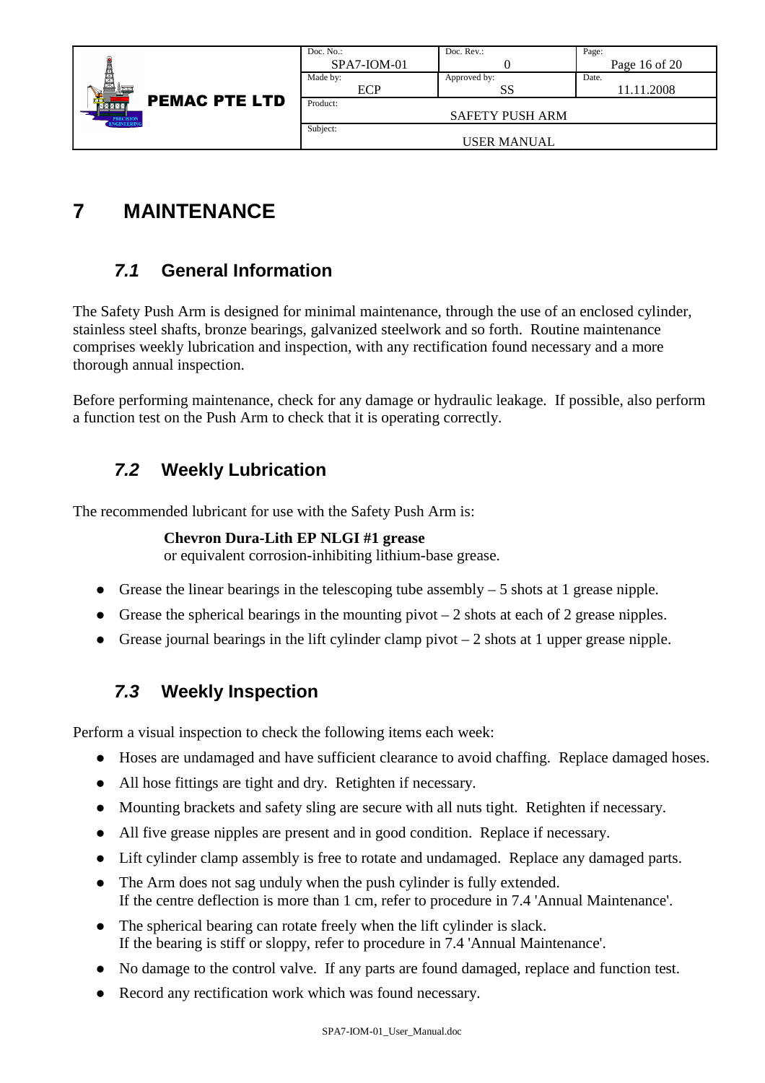| Doc. $No.$ :  | Doc. Rev.:             | Page:           |
|---------------|------------------------|-----------------|
| $SPA7-ION-01$ |                        | Page 16 of $20$ |
| Made by:      | Approved by:           | Date.           |
| ECP           | SS                     | 11.11.2008      |
| Product:      |                        |                 |
|               | <b>SAFETY PUSH ARM</b> |                 |
| Subject:      |                        |                 |
|               | USER MANUAL            |                 |
|               |                        |                 |

## **7 MAINTENANCE**

## **7.1 General Information**

The Safety Push Arm is designed for minimal maintenance, through the use of an enclosed cylinder, stainless steel shafts, bronze bearings, galvanized steelwork and so forth. Routine maintenance comprises weekly lubrication and inspection, with any rectification found necessary and a more thorough annual inspection.

Before performing maintenance, check for any damage or hydraulic leakage. If possible, also perform a function test on the Push Arm to check that it is operating correctly.

### **7.2 Weekly Lubrication**

The recommended lubricant for use with the Safety Push Arm is:

#### **Chevron Dura-Lith EP NLGI #1 grease**

or equivalent corrosion-inhibiting lithium-base grease.

- Grease the linear bearings in the telescoping tube assembly 5 shots at 1 grease nipple.
- Grease the spherical bearings in the mounting pivot  $-2$  shots at each of 2 grease nipples.
- Grease journal bearings in the lift cylinder clamp pivot 2 shots at 1 upper grease nipple.

### **7.3 Weekly Inspection**

Perform a visual inspection to check the following items each week:

- Hoses are undamaged and have sufficient clearance to avoid chaffing. Replace damaged hoses.
- All hose fittings are tight and dry. Retighten if necessary.
- Mounting brackets and safety sling are secure with all nuts tight. Retighten if necessary.
- All five grease nipples are present and in good condition. Replace if necessary.
- Lift cylinder clamp assembly is free to rotate and undamaged. Replace any damaged parts.
- The Arm does not sag unduly when the push cylinder is fully extended. If the centre deflection is more than 1 cm, refer to procedure in 7.4 'Annual Maintenance'.
- The spherical bearing can rotate freely when the lift cylinder is slack. If the bearing is stiff or sloppy, refer to procedure in 7.4 'Annual Maintenance'.
- No damage to the control valve. If any parts are found damaged, replace and function test.
- Record any rectification work which was found necessary.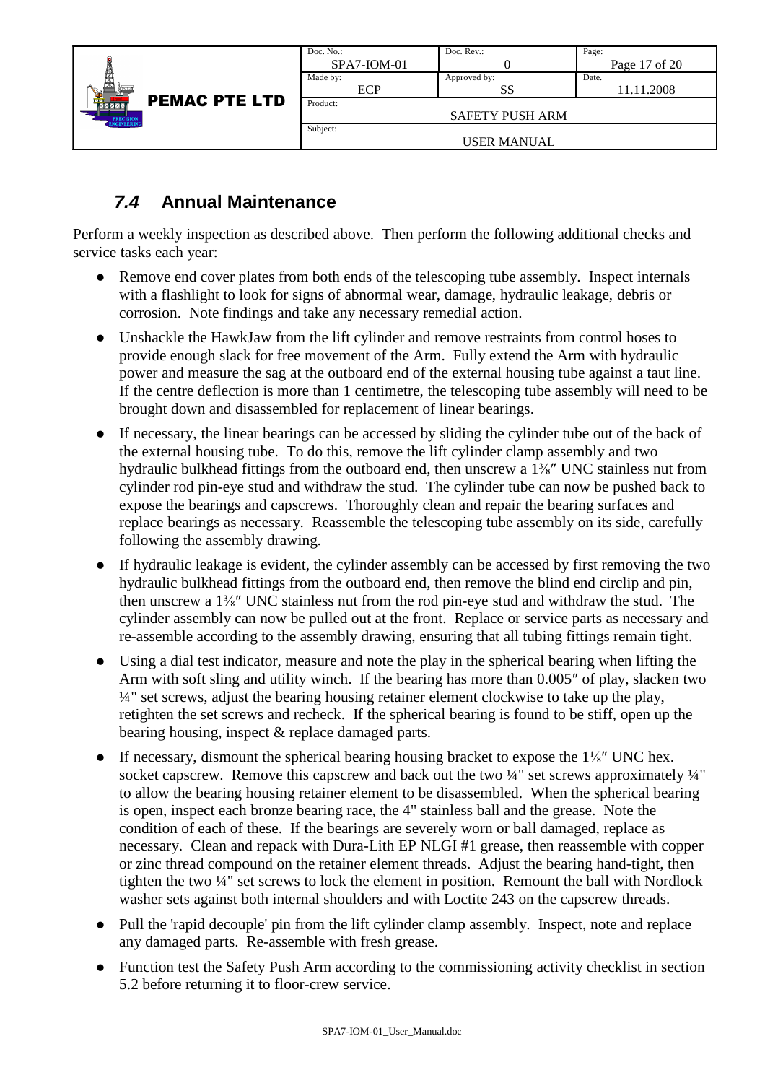|                                                                     | Doc. $No.$ :  | Doc. Rev.:             | Page:         |
|---------------------------------------------------------------------|---------------|------------------------|---------------|
| <b>PEMAC PTE LTD</b><br>80 X X X<br><b>PRECISION</b><br>ENGINEERING | $SPA7-ION-01$ |                        | Page 17 of 20 |
|                                                                     | Made by:      | Approved by:           | Date.         |
|                                                                     | ECP           | SS                     | 11.11.2008    |
|                                                                     | Product:      |                        |               |
|                                                                     |               | <b>SAFETY PUSH ARM</b> |               |
|                                                                     | Subject:      |                        |               |
|                                                                     |               | <b>USER MANUAL</b>     |               |

### **7.4 Annual Maintenance**

Perform a weekly inspection as described above. Then perform the following additional checks and service tasks each year:

- $\bullet$  Remove end cover plates from both ends of the telescoping tube assembly. Inspect internals with a flashlight to look for signs of abnormal wear, damage, hydraulic leakage, debris or corrosion. Note findings and take any necessary remedial action.
- Unshackle the HawkJaw from the lift cylinder and remove restraints from control hoses to provide enough slack for free movement of the Arm. Fully extend the Arm with hydraulic power and measure the sag at the outboard end of the external housing tube against a taut line. If the centre deflection is more than 1 centimetre, the telescoping tube assembly will need to be brought down and disassembled for replacement of linear bearings.
- If necessary, the linear bearings can be accessed by sliding the cylinder tube out of the back of the external housing tube. To do this, remove the lift cylinder clamp assembly and two hydraulic bulkhead fittings from the outboard end, then unscrew a  $1\frac{3}{8}$ " UNC stainless nut from cylinder rod pin-eye stud and withdraw the stud. The cylinder tube can now be pushed back to expose the bearings and capscrews. Thoroughly clean and repair the bearing surfaces and replace bearings as necessary. Reassemble the telescoping tube assembly on its side, carefully following the assembly drawing.
- If hydraulic leakage is evident, the cylinder assembly can be accessed by first removing the two hydraulic bulkhead fittings from the outboard end, then remove the blind end circlip and pin, then unscrew a 1⅜″ UNC stainless nut from the rod pin-eye stud and withdraw the stud. The cylinder assembly can now be pulled out at the front. Replace or service parts as necessary and re-assemble according to the assembly drawing, ensuring that all tubing fittings remain tight.
- Using a dial test indicator, measure and note the play in the spherical bearing when lifting the Arm with soft sling and utility winch. If the bearing has more than 0.005″ of play, slacken two ¼" set screws, adjust the bearing housing retainer element clockwise to take up the play, retighten the set screws and recheck. If the spherical bearing is found to be stiff, open up the bearing housing, inspect & replace damaged parts.
- $\bullet$ If necessary, dismount the spherical bearing housing bracket to expose the  $1\frac{1}{8}$ " UNC hex. socket capscrew. Remove this capscrew and back out the two  $\frac{1}{4}$ " set screws approximately  $\frac{1}{4}$ " to allow the bearing housing retainer element to be disassembled. When the spherical bearing is open, inspect each bronze bearing race, the 4" stainless ball and the grease. Note the condition of each of these. If the bearings are severely worn or ball damaged, replace as necessary. Clean and repack with Dura-Lith EP NLGI #1 grease, then reassemble with copper or zinc thread compound on the retainer element threads. Adjust the bearing hand-tight, then tighten the two ¼" set screws to lock the element in position. Remount the ball with Nordlock washer sets against both internal shoulders and with Loctite 243 on the capscrew threads.
- Pull the 'rapid decouple' pin from the lift cylinder clamp assembly. Inspect, note and replace any damaged parts. Re-assemble with fresh grease.
- Function test the Safety Push Arm according to the commissioning activity checklist in section 5.2 before returning it to floor-crew service.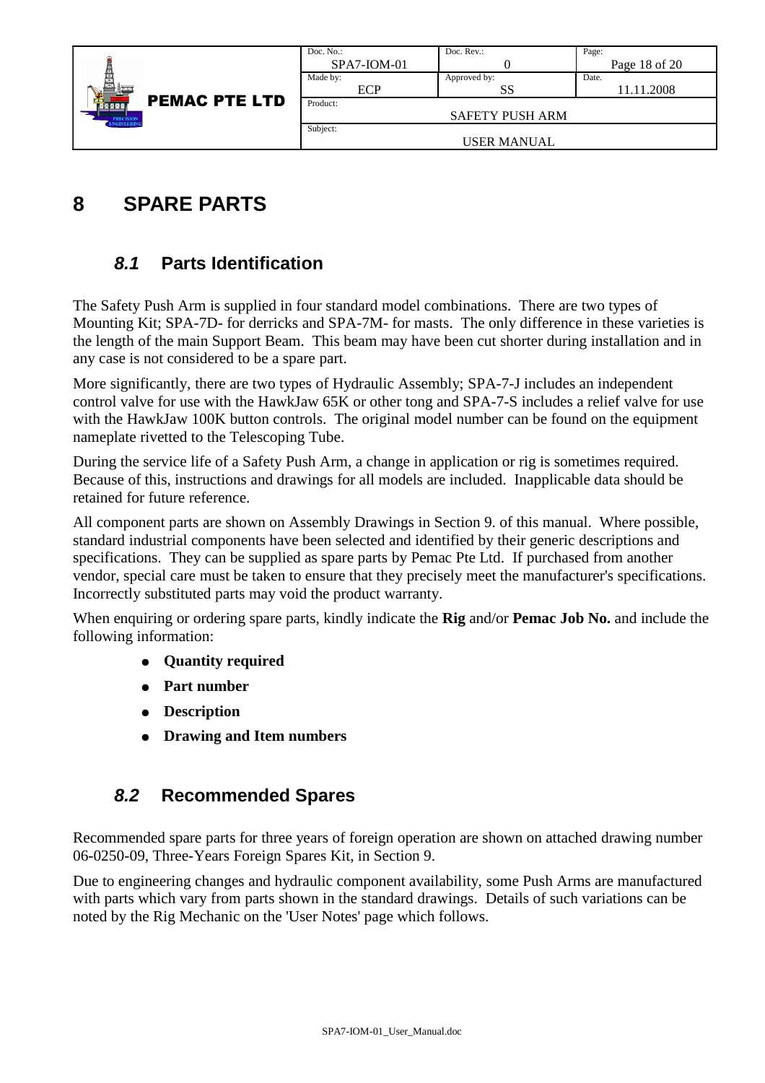|                                                                         | Doc. No.:     | Doc. $Rev.$ :          | Page:           |
|-------------------------------------------------------------------------|---------------|------------------------|-----------------|
|                                                                         | $SPA7-ION-01$ |                        | Page 18 of $20$ |
| 闑                                                                       | Made by:      | Approved by:           | Date.           |
| <b>PEMAC PTE LTD</b><br>ਜ਼ਰ<br>MXXXX<br><b>PRECISION</b><br>ENGINEERING | ECP           | SS                     | 11.11.2008      |
|                                                                         | Product:      |                        |                 |
|                                                                         |               | <b>SAFETY PUSH ARM</b> |                 |
|                                                                         | Subject:      |                        |                 |
|                                                                         |               | USER MANUAL            |                 |

## **8 SPARE PARTS**

### **8.1 Parts Identification**

The Safety Push Arm is supplied in four standard model combinations. There are two types of Mounting Kit; SPA-7D- for derricks and SPA-7M- for masts. The only difference in these varieties is the length of the main Support Beam. This beam may have been cut shorter during installation and in any case is not considered to be a spare part.

More significantly, there are two types of Hydraulic Assembly; SPA-7-J includes an independent control valve for use with the HawkJaw 65K or other tong and SPA-7-S includes a relief valve for use with the HawkJaw 100K button controls. The original model number can be found on the equipment nameplate rivetted to the Telescoping Tube.

During the service life of a Safety Push Arm, a change in application or rig is sometimes required. Because of this, instructions and drawings for all models are included. Inapplicable data should be retained for future reference.

All component parts are shown on Assembly Drawings in Section 9. of this manual. Where possible, standard industrial components have been selected and identified by their generic descriptions and specifications. They can be supplied as spare parts by Pemac Pte Ltd. If purchased from another vendor, special care must be taken to ensure that they precisely meet the manufacturer's specifications. Incorrectly substituted parts may void the product warranty.

When enquiring or ordering spare parts, kindly indicate the **Rig** and/or **Pemac Job No.** and include the following information:

- **Quantity required**
- **Part number**
- **Description**
- **Drawing and Item numbers**

#### **8.2 Recommended Spares**

Recommended spare parts for three years of foreign operation are shown on attached drawing number 06-0250-09, Three-Years Foreign Spares Kit, in Section 9.

Due to engineering changes and hydraulic component availability, some Push Arms are manufactured with parts which vary from parts shown in the standard drawings. Details of such variations can be noted by the Rig Mechanic on the 'User Notes' page which follows.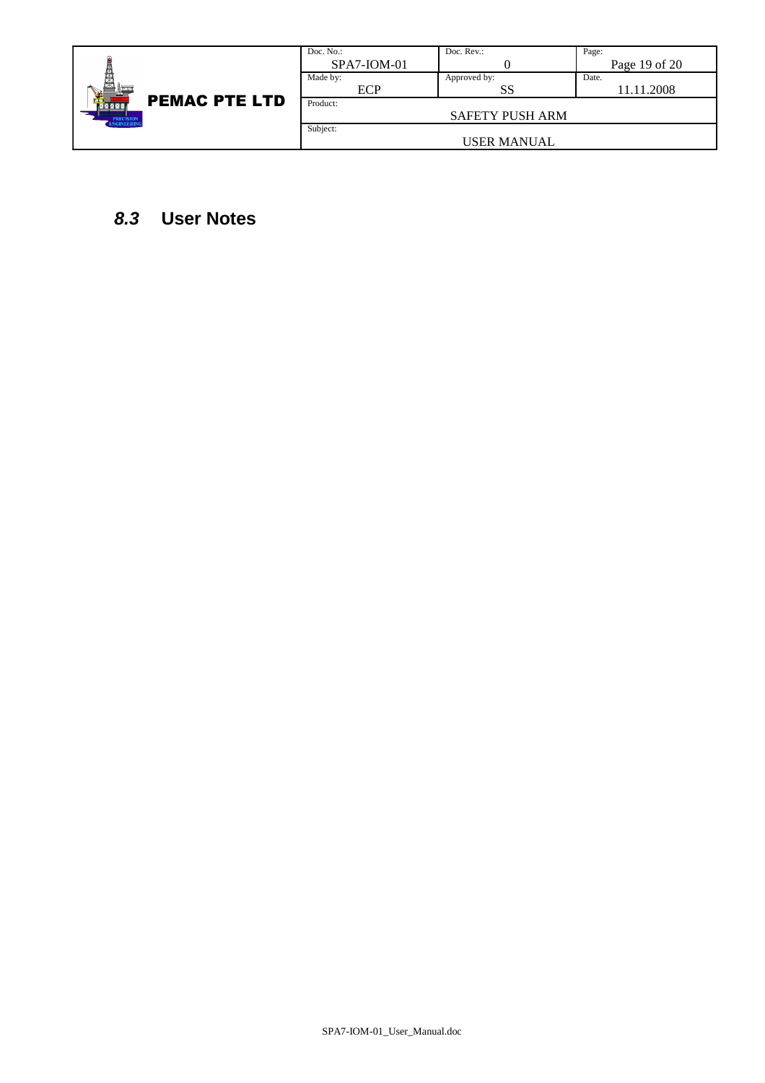|                               | Doc. No.:     | Doc. $Rev.$ :          | Page:             |
|-------------------------------|---------------|------------------------|-------------------|
|                               | $SPA7-ION-01$ |                        | Page $19$ of $20$ |
|                               | Made by:      | Approved by:           | Date.             |
|                               | ECP           | SS                     | 11.11.2008        |
| <b>PEMAC PTE LTD</b><br>MXXXX | Product:      |                        |                   |
| PRECISION<br>ENGINEERING      |               | <b>SAFETY PUSH ARM</b> |                   |
|                               | Subject:      |                        |                   |
|                               |               | <b>USER MANUAL</b>     |                   |

#### **8.3 User Notes**